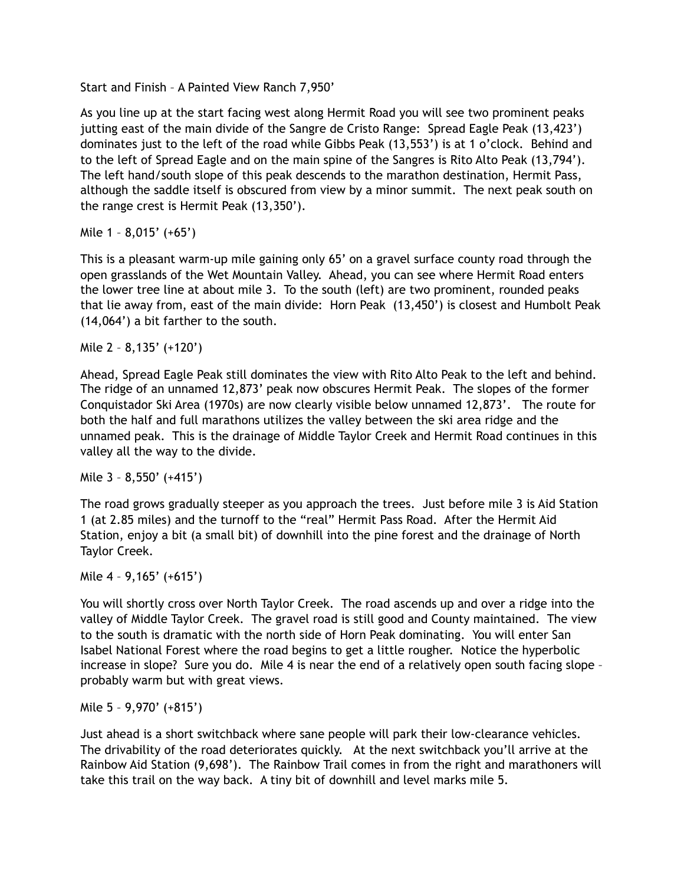Start and Finish – A Painted View Ranch 7,950'

As you line up at the start facing west along Hermit Road you will see two prominent peaks jutting east of the main divide of the Sangre de Cristo Range: Spread Eagle Peak (13,423') dominates just to the left of the road while Gibbs Peak (13,553') is at 1 o'clock. Behind and to the left of Spread Eagle and on the main spine of the Sangres is Rito Alto Peak (13,794'). The left hand/south slope of this peak descends to the marathon destination, Hermit Pass, although the saddle itself is obscured from view by a minor summit. The next peak south on the range crest is Hermit Peak (13,350').

Mile 1 – 8,015' (+65')

This is a pleasant warm-up mile gaining only 65' on a gravel surface county road through the open grasslands of the Wet Mountain Valley. Ahead, you can see where Hermit Road enters the lower tree line at about mile 3. To the south (left) are two prominent, rounded peaks that lie away from, east of the main divide: Horn Peak (13,450') is closest and Humbolt Peak (14,064') a bit farther to the south.

Mile 2 – 8,135' (+120')

Ahead, Spread Eagle Peak still dominates the view with Rito Alto Peak to the left and behind. The ridge of an unnamed 12,873' peak now obscures Hermit Peak. The slopes of the former Conquistador Ski Area (1970s) are now clearly visible below unnamed 12,873'. The route for both the half and full marathons utilizes the valley between the ski area ridge and the unnamed peak. This is the drainage of Middle Taylor Creek and Hermit Road continues in this valley all the way to the divide.

Mile 3 – 8,550' (+415')

The road grows gradually steeper as you approach the trees. Just before mile 3 is Aid Station 1 (at 2.85 miles) and the turnoff to the "real" Hermit Pass Road. After the Hermit Aid Station, enjoy a bit (a small bit) of downhill into the pine forest and the drainage of North Taylor Creek.

Mile 4 – 9,165' (+615')

You will shortly cross over North Taylor Creek. The road ascends up and over a ridge into the valley of Middle Taylor Creek. The gravel road is still good and County maintained. The view to the south is dramatic with the north side of Horn Peak dominating. You will enter San Isabel National Forest where the road begins to get a little rougher. Notice the hyperbolic increase in slope? Sure you do. Mile 4 is near the end of a relatively open south facing slope – probably warm but with great views.

Mile 5 – 9,970' (+815')

Just ahead is a short switchback where sane people will park their low-clearance vehicles. The drivability of the road deteriorates quickly. At the next switchback you'll arrive at the Rainbow Aid Station (9,698'). The Rainbow Trail comes in from the right and marathoners will take this trail on the way back. A tiny bit of downhill and level marks mile 5.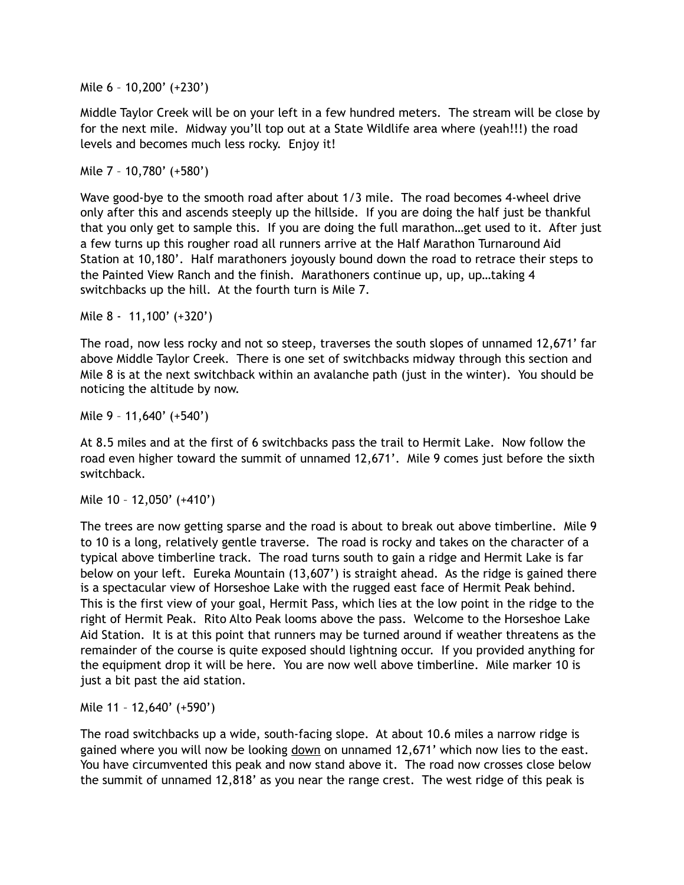Mile 6 – 10,200' (+230')

Middle Taylor Creek will be on your left in a few hundred meters. The stream will be close by for the next mile. Midway you'll top out at a State Wildlife area where (yeah!!!) the road levels and becomes much less rocky. Enjoy it!

Mile 7 – 10,780' (+580')

Wave good-bye to the smooth road after about 1/3 mile. The road becomes 4-wheel drive only after this and ascends steeply up the hillside. If you are doing the half just be thankful that you only get to sample this. If you are doing the full marathon…get used to it. After just a few turns up this rougher road all runners arrive at the Half Marathon Turnaround Aid Station at 10,180'. Half marathoners joyously bound down the road to retrace their steps to the Painted View Ranch and the finish. Marathoners continue up, up, up…taking 4 switchbacks up the hill. At the fourth turn is Mile 7.

Mile 8 - 11,100' (+320')

The road, now less rocky and not so steep, traverses the south slopes of unnamed 12,671' far above Middle Taylor Creek. There is one set of switchbacks midway through this section and Mile 8 is at the next switchback within an avalanche path (just in the winter). You should be noticing the altitude by now.

Mile 9 – 11,640' (+540')

At 8.5 miles and at the first of 6 switchbacks pass the trail to Hermit Lake. Now follow the road even higher toward the summit of unnamed 12,671'. Mile 9 comes just before the sixth switchback.

Mile 10 – 12,050' (+410')

The trees are now getting sparse and the road is about to break out above timberline. Mile 9 to 10 is a long, relatively gentle traverse. The road is rocky and takes on the character of a typical above timberline track. The road turns south to gain a ridge and Hermit Lake is far below on your left. Eureka Mountain (13,607') is straight ahead. As the ridge is gained there is a spectacular view of Horseshoe Lake with the rugged east face of Hermit Peak behind. This is the first view of your goal, Hermit Pass, which lies at the low point in the ridge to the right of Hermit Peak. Rito Alto Peak looms above the pass. Welcome to the Horseshoe Lake Aid Station. It is at this point that runners may be turned around if weather threatens as the remainder of the course is quite exposed should lightning occur. If you provided anything for the equipment drop it will be here. You are now well above timberline. Mile marker 10 is just a bit past the aid station.

Mile 11 – 12,640' (+590')

The road switchbacks up a wide, south-facing slope. At about 10.6 miles a narrow ridge is gained where you will now be looking down on unnamed 12,671' which now lies to the east. You have circumvented this peak and now stand above it. The road now crosses close below the summit of unnamed 12,818' as you near the range crest. The west ridge of this peak is